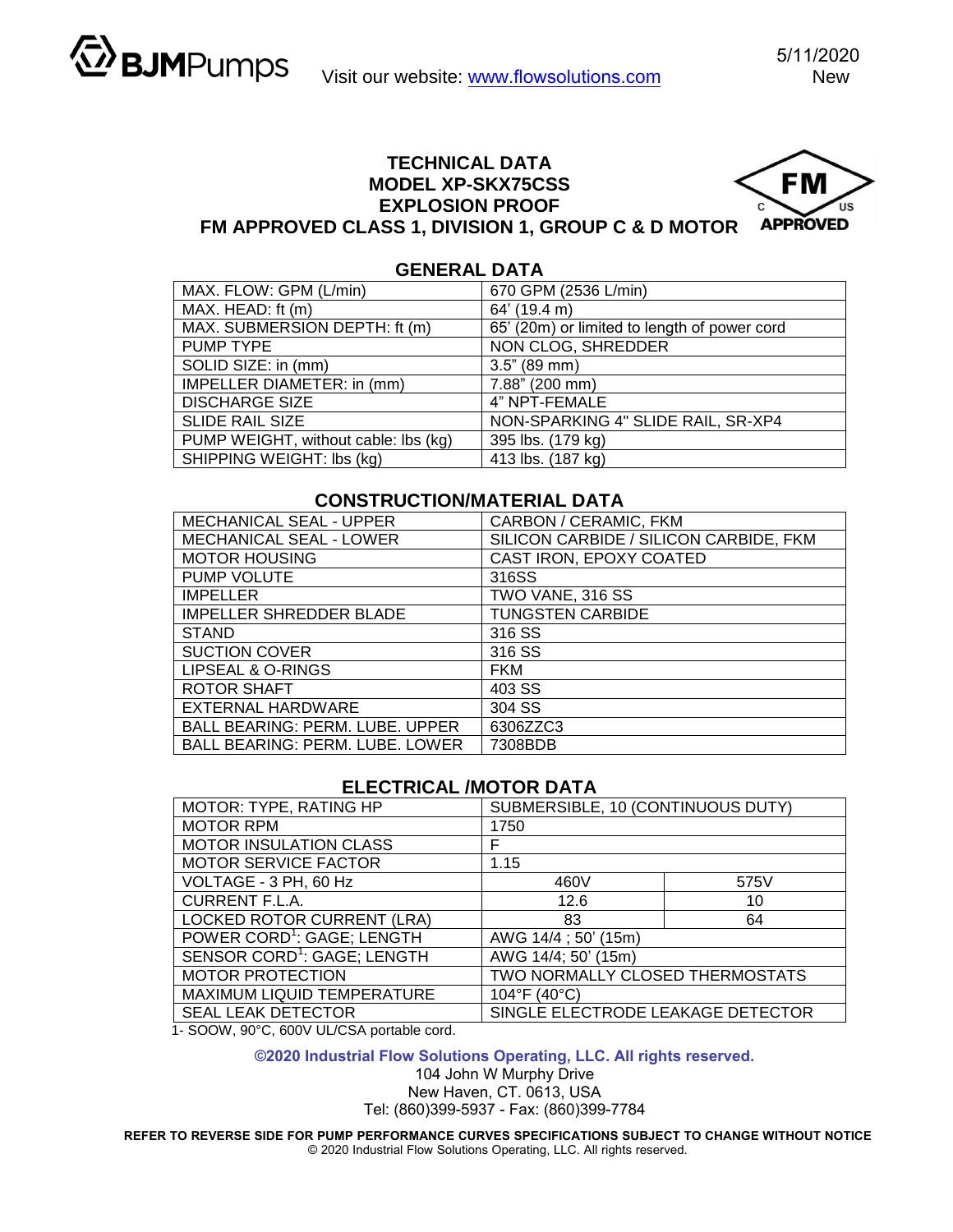

### **TECHNICAL DATA MODEL XP-SKX75CSS EXPLOSION PROOF**



## **FM APPROVED CLASS 1, DIVISION 1, GROUP C & D MOTOR**

# **GENERAL DATA**

| MAX. FLOW: GPM (L/min)               | 670 GPM (2536 L/min)                         |  |  |
|--------------------------------------|----------------------------------------------|--|--|
| MAX. HEAD: ft (m)                    | 64' (19.4 m)                                 |  |  |
| MAX. SUBMERSION DEPTH: ft (m)        | 65' (20m) or limited to length of power cord |  |  |
| PUMP TYPE                            | NON CLOG, SHREDDER                           |  |  |
| SOLID SIZE: in (mm)                  | $3.5$ " (89 mm)                              |  |  |
| IMPELLER DIAMETER: in (mm)           | 7.88" (200 mm)                               |  |  |
| <b>DISCHARGE SIZE</b>                | 4" NPT-FEMALE                                |  |  |
| <b>SLIDE RAIL SIZE</b>               | NON-SPARKING 4" SLIDE RAIL, SR-XP4           |  |  |
| PUMP WEIGHT, without cable: lbs (kg) | 395 lbs. (179 kg)                            |  |  |
| SHIPPING WEIGHT: Ibs (kg)            | 413 lbs. (187 kg)                            |  |  |

### **CONSTRUCTION/MATERIAL DATA**

| <b>MECHANICAL SEAL - UPPER</b>         | CARBON / CERAMIC, FKM                  |  |
|----------------------------------------|----------------------------------------|--|
| <b>MECHANICAL SEAL - LOWER</b>         | SILICON CARBIDE / SILICON CARBIDE, FKM |  |
| <b>MOTOR HOUSING</b>                   | CAST IRON, EPOXY COATED                |  |
| PUMP VOLUTE                            | 316SS                                  |  |
| <b>IMPELLER</b>                        | TWO VANE, 316 SS                       |  |
| <b>IMPELLER SHREDDER BLADE</b>         | <b>TUNGSTEN CARBIDE</b>                |  |
| <b>STAND</b>                           | 316 SS                                 |  |
| <b>SUCTION COVER</b>                   | 316 SS                                 |  |
| LIPSEAL & O-RINGS                      | <b>FKM</b>                             |  |
| <b>ROTOR SHAFT</b>                     | 403 SS                                 |  |
| <b>EXTERNAL HARDWARE</b>               | 304 SS                                 |  |
| BALL BEARING: PERM. LUBE. UPPER        | 6306ZZC3                               |  |
| <b>BALL BEARING: PERM. LUBE. LOWER</b> | 7308BDB                                |  |

### **ELECTRICAL /MOTOR DATA**

| MOTOR: TYPE, RATING HP                   | SUBMERSIBLE, 10 (CONTINUOUS DUTY) |      |  |
|------------------------------------------|-----------------------------------|------|--|
| <b>MOTOR RPM</b>                         | 1750                              |      |  |
| <b>MOTOR INSULATION CLASS</b>            | F                                 |      |  |
| <b>MOTOR SERVICE FACTOR</b>              | 1.15                              |      |  |
| VOLTAGE - 3 PH, 60 Hz                    | 460V                              | 575V |  |
| <b>CURRENT F.L.A.</b>                    | 12.6                              | 10   |  |
| <b>LOCKED ROTOR CURRENT (LRA)</b>        | 83                                | 64   |  |
| POWER CORD <sup>1</sup> : GAGE; LENGTH   | AWG 14/4 ; 50' (15m)              |      |  |
| SENSOR CORD <sup>1</sup> : GAGE; LENGTH  | AWG 14/4; 50' (15m)               |      |  |
| <b>MOTOR PROTECTION</b>                  | TWO NORMALLY CLOSED THERMOSTATS   |      |  |
| MAXIMUM LIQUID TEMPERATURE               | 104°F (40°C)                      |      |  |
| <b>SEAL LEAK DETECTOR</b>                | SINGLE ELECTRODE LEAKAGE DETECTOR |      |  |
| .<br>$-0.0111 - 0.000 - 0.01111 - 0.001$ |                                   |      |  |

1- SOOW, 90°C, 600V UL/CSA portable cord.

**©2020 Industrial Flow Solutions Operating, LLC. All rights reserved.**

104 John W Murphy Drive New Haven, CT. 0613, USA Tel: (860)399-5937 - Fax: (860)399-7784

**REFER TO REVERSE SIDE FOR PUMP PERFORMANCE CURVES SPECIFICATIONS SUBJECT TO CHANGE WITHOUT NOTICE**  © 2020 Industrial Flow Solutions Operating, LLC. All rights reserved.